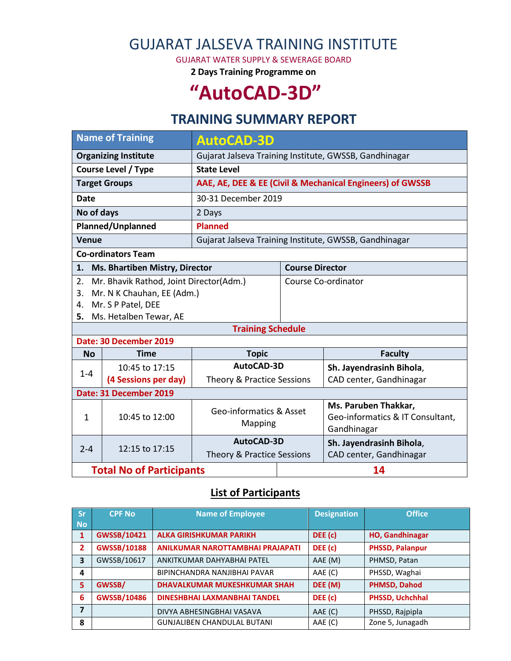# GUJARAT JALSEVA TRAINING INSTITUTE

GUJARAT WATER SUPPLY & SEWERAGE BOARD

**2 Days Training Programme on**

# **"AutoCAD-3D"**

## **TRAINING SUMMARY REPORT**

| <b>Name of Training</b>         |                                                                                                                       | <b>AutoCAD-3D</b>                                         |                        |                                                                         |  |  |
|---------------------------------|-----------------------------------------------------------------------------------------------------------------------|-----------------------------------------------------------|------------------------|-------------------------------------------------------------------------|--|--|
| <b>Organizing Institute</b>     |                                                                                                                       | Gujarat Jalseva Training Institute, GWSSB, Gandhinagar    |                        |                                                                         |  |  |
| <b>Course Level / Type</b>      |                                                                                                                       | <b>State Level</b>                                        |                        |                                                                         |  |  |
| <b>Target Groups</b>            |                                                                                                                       | AAE, AE, DEE & EE (Civil & Mechanical Engineers) of GWSSB |                        |                                                                         |  |  |
| <b>Date</b>                     |                                                                                                                       | 30-31 December 2019                                       |                        |                                                                         |  |  |
| No of days                      |                                                                                                                       | 2 Days                                                    |                        |                                                                         |  |  |
| Planned/Unplanned               |                                                                                                                       | <b>Planned</b>                                            |                        |                                                                         |  |  |
| <b>Venue</b>                    |                                                                                                                       | Gujarat Jalseva Training Institute, GWSSB, Gandhinagar    |                        |                                                                         |  |  |
| <b>Co-ordinators Team</b>       |                                                                                                                       |                                                           |                        |                                                                         |  |  |
| 1.                              | Ms. Bhartiben Mistry, Director                                                                                        |                                                           | <b>Course Director</b> |                                                                         |  |  |
| 2.<br>3.<br>4.<br>5.            | Mr. Bhavik Rathod, Joint Director(Adm.)<br>Mr. N K Chauhan, EE (Adm.)<br>Mr. S P Patel, DEE<br>Ms. Hetalben Tewar, AE |                                                           | Course Co-ordinator    |                                                                         |  |  |
|                                 |                                                                                                                       | <b>Training Schedule</b>                                  |                        |                                                                         |  |  |
|                                 | Date: 30 December 2019                                                                                                |                                                           |                        |                                                                         |  |  |
| <b>No</b>                       | <b>Time</b>                                                                                                           | <b>Topic</b>                                              |                        | <b>Faculty</b>                                                          |  |  |
| $1 - 4$                         | 10:45 to 17:15                                                                                                        | AutoCAD-3D                                                |                        | Sh. Jayendrasinh Bihola,                                                |  |  |
|                                 | (4 Sessions per day)                                                                                                  | Theory & Practice Sessions                                |                        | CAD center, Gandhinagar                                                 |  |  |
|                                 | Date: 31 December 2019                                                                                                |                                                           |                        |                                                                         |  |  |
| $\mathbf{1}$                    | 10:45 to 12:00                                                                                                        | Geo-informatics & Asset<br>Mapping                        |                        | Ms. Paruben Thakkar,<br>Geo-informatics & IT Consultant,<br>Gandhinagar |  |  |
| $2 - 4$                         | 12:15 to 17:15                                                                                                        | AutoCAD-3D<br>Theory & Practice Sessions                  |                        | Sh. Jayendrasinh Bihola,<br>CAD center, Gandhinagar                     |  |  |
| <b>Total No of Participants</b> |                                                                                                                       |                                                           | 14                     |                                                                         |  |  |

#### **List of Participants**

| <b>Sr</b>    | <b>CPF No</b>      | <b>Name of Employee</b>             | <b>Designation</b> | <b>Office</b>          |
|--------------|--------------------|-------------------------------------|--------------------|------------------------|
| <b>No</b>    |                    |                                     |                    |                        |
| $\mathbf{1}$ | GWSSB/10421        | <b>ALKA GIRISHKUMAR PARIKH</b>      | DEE (c)            | <b>HO, Gandhinagar</b> |
| 2            | <b>GWSSB/10188</b> | ANILKUMAR NAROTTAMBHAI PRAJAPATI    | DEE (c)            | <b>PHSSD, Palanpur</b> |
| 3            | GWSSB/10617        | ANKITKUMAR DAHYABHAI PATEL          | AAE (M)            | PHMSD, Patan           |
| 4            |                    | BIPINCHANDRA NANJIBHAI PAVAR        | AAE (C)            | PHSSD, Waghai          |
| 5            | GWSSB/             | <b>DHAVALKUMAR MUKESHKUMAR SHAH</b> | DEE (M)            | <b>PHMSD, Dahod</b>    |
| 6            | <b>GWSSB/10486</b> | DINESHBHAI LAXMANBHAI TANDEL        | DEE (c)            | PHSSD, Uchchhal        |
| 7            |                    | DIVYA ABHESINGBHAI VASAVA           | AAE (C)            | PHSSD, Rajpipla        |
| 8            |                    | <b>GUNJALIBEN CHANDULAL BUTANI</b>  | AAE (C)            | Zone 5, Junagadh       |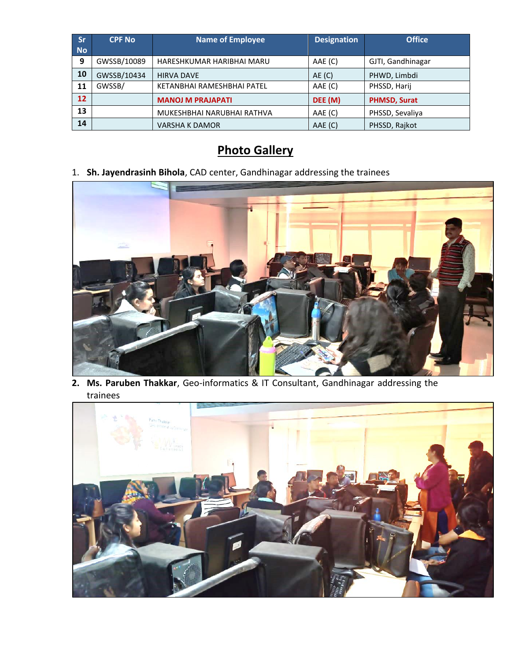| <b>Sr</b><br><b>No</b> | <b>CPF No</b> | <b>Name of Employee</b>    | <b>Designation</b> | <b>Office</b>       |
|------------------------|---------------|----------------------------|--------------------|---------------------|
| 9                      | GWSSB/10089   | HARESHKUMAR HARIBHAI MARU  | AAE (C)            | GJTI, Gandhinagar   |
| 10                     | GWSSB/10434   | <b>HIRVA DAVE</b>          | AE(C)              | PHWD, Limbdi        |
| 11                     | GWSSB/        | KETANBHAI RAMESHBHAI PATEL | AAE (C)            | PHSSD, Harij        |
| 12                     |               | <b>MANOJ M PRAJAPATI</b>   | DEE (M)            | <b>PHMSD, Surat</b> |
| 13                     |               | MUKESHBHAI NARUBHAI RATHVA | AAE (C)            | PHSSD, Sevaliya     |
| 14                     |               | <b>VARSHA K DAMOR</b>      | AAE (C)            | PHSSD, Rajkot       |

## **Photo Gallery**

### 1. **Sh. Jayendrasinh Bihola**, CAD center, Gandhinagar addressing the trainees



**2. Ms. Paruben Thakkar**, Geo-informatics & IT Consultant, Gandhinagar addressing the trainees